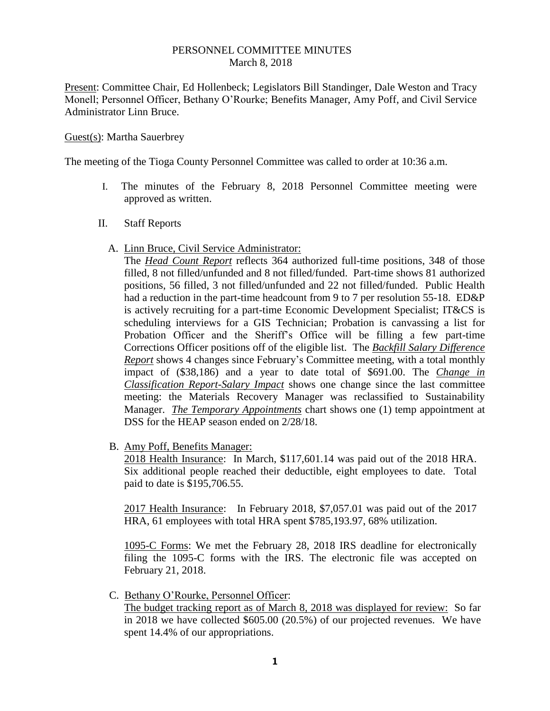## PERSONNEL COMMITTEE MINUTES March 8, 2018

Present: Committee Chair, Ed Hollenbeck; Legislators Bill Standinger, Dale Weston and Tracy Monell; Personnel Officer, Bethany O'Rourke; Benefits Manager, Amy Poff, and Civil Service Administrator Linn Bruce.

## Guest(s): Martha Sauerbrey

The meeting of the Tioga County Personnel Committee was called to order at 10:36 a.m.

- I. The minutes of the February 8, 2018 Personnel Committee meeting were approved as written.
- II. Staff Reports
	- A. Linn Bruce, Civil Service Administrator:

The *Head Count Report* reflects 364 authorized full-time positions, 348 of those filled, 8 not filled/unfunded and 8 not filled/funded. Part-time shows 81 authorized positions, 56 filled, 3 not filled/unfunded and 22 not filled/funded. Public Health had a reduction in the part-time headcount from 9 to 7 per resolution 55-18. ED&P is actively recruiting for a part-time Economic Development Specialist; IT&CS is scheduling interviews for a GIS Technician; Probation is canvassing a list for Probation Officer and the Sheriff's Office will be filling a few part-time Corrections Officer positions off of the eligible list. The *Backfill Salary Difference Report* shows 4 changes since February's Committee meeting, with a total monthly impact of (\$38,186) and a year to date total of \$691.00. The *Change in Classification Report-Salary Impact* shows one change since the last committee meeting: the Materials Recovery Manager was reclassified to Sustainability Manager. *The Temporary Appointments* chart shows one (1) temp appointment at DSS for the HEAP season ended on 2/28/18.

B. Amy Poff, Benefits Manager:

2018 Health Insurance: In March, \$117,601.14 was paid out of the 2018 HRA. Six additional people reached their deductible, eight employees to date. Total paid to date is \$195,706.55.

2017 Health Insurance: In February 2018, \$7,057.01 was paid out of the 2017 HRA, 61 employees with total HRA spent \$785,193.97, 68% utilization.

1095-C Forms: We met the February 28, 2018 IRS deadline for electronically filing the 1095-C forms with the IRS. The electronic file was accepted on February 21, 2018.

C. Bethany O'Rourke, Personnel Officer:

The budget tracking report as of March 8, 2018 was displayed for review: So far in 2018 we have collected \$605.00 (20.5%) of our projected revenues. We have spent 14.4% of our appropriations.